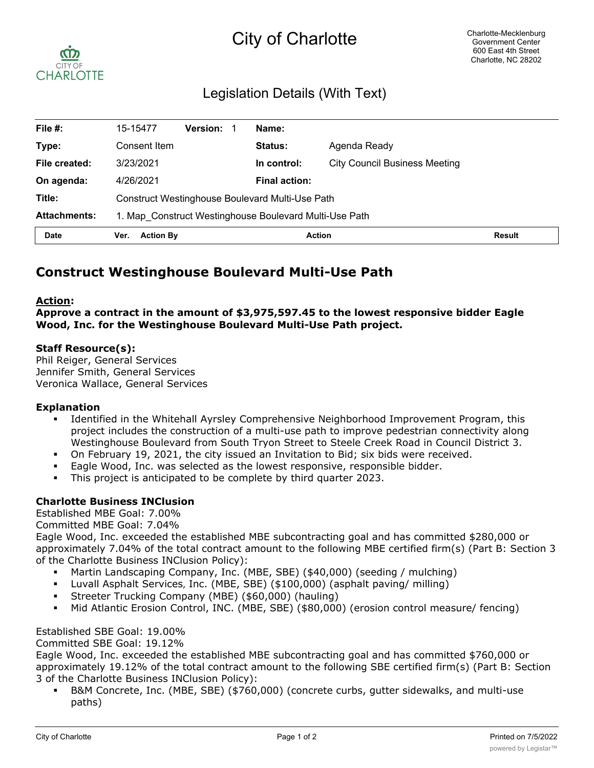# City of Charlotte



## Legislation Details (With Text)

| File $#$ :          | 15-15477                                               | <b>Version:</b> | Name:                |                                      |               |
|---------------------|--------------------------------------------------------|-----------------|----------------------|--------------------------------------|---------------|
| Type:               | Consent Item                                           |                 | Status:              | Agenda Ready                         |               |
| File created:       | 3/23/2021                                              |                 | In control:          | <b>City Council Business Meeting</b> |               |
| On agenda:          | 4/26/2021                                              |                 | <b>Final action:</b> |                                      |               |
| Title:              | <b>Construct Westinghouse Boulevard Multi-Use Path</b> |                 |                      |                                      |               |
| <b>Attachments:</b> | 1. Map Construct Westinghouse Boulevard Multi-Use Path |                 |                      |                                      |               |
| <b>Date</b>         | <b>Action By</b><br>Ver.                               |                 | <b>Action</b>        |                                      | <b>Result</b> |

### **Construct Westinghouse Boulevard Multi-Use Path**

#### **Action:**

**Approve a contract in the amount of \$3,975,597.45 to the lowest responsive bidder Eagle Wood, Inc. for the Westinghouse Boulevard Multi-Use Path project.**

#### **Staff Resource(s):**

Phil Reiger, General Services Jennifer Smith, General Services Veronica Wallace, General Services

#### **Explanation**

- § Identified in the Whitehall Ayrsley Comprehensive Neighborhood Improvement Program, this project includes the construction of a multi-use path to improve pedestrian connectivity along Westinghouse Boulevard from South Tryon Street to Steele Creek Road in Council District 3.
- On February 19, 2021, the city issued an Invitation to Bid; six bids were received.
- Eagle Wood, Inc. was selected as the lowest responsive, responsible bidder.
- § This project is anticipated to be complete by third quarter 2023.

#### **Charlotte Business INClusion**

Established MBE Goal: 7.00%

Committed MBE Goal: 7.04%

Eagle Wood, Inc. exceeded the established MBE subcontracting goal and has committed \$280,000 or approximately 7.04% of the total contract amount to the following MBE certified firm(s) (Part B: Section 3 of the Charlotte Business INClusion Policy):

- § Martin Landscaping Company, Inc. (MBE, SBE) (\$40,000) (seeding / mulching)
- § Luvall Asphalt Services, Inc. (MBE, SBE) (\$100,000) (asphalt paving/ milling)
- § Streeter Trucking Company (MBE) (\$60,000) (hauling)
- § Mid Atlantic Erosion Control, INC. (MBE, SBE) (\$80,000) (erosion control measure/ fencing)

#### Established SBE Goal: 19.00%

#### Committed SBE Goal: 19.12%

Eagle Wood, Inc. exceeded the established MBE subcontracting goal and has committed \$760,000 or approximately 19.12% of the total contract amount to the following SBE certified firm(s) (Part B: Section 3 of the Charlotte Business INClusion Policy):

§ B&M Concrete, Inc. (MBE, SBE) (\$760,000) (concrete curbs, gutter sidewalks, and multi-use paths)